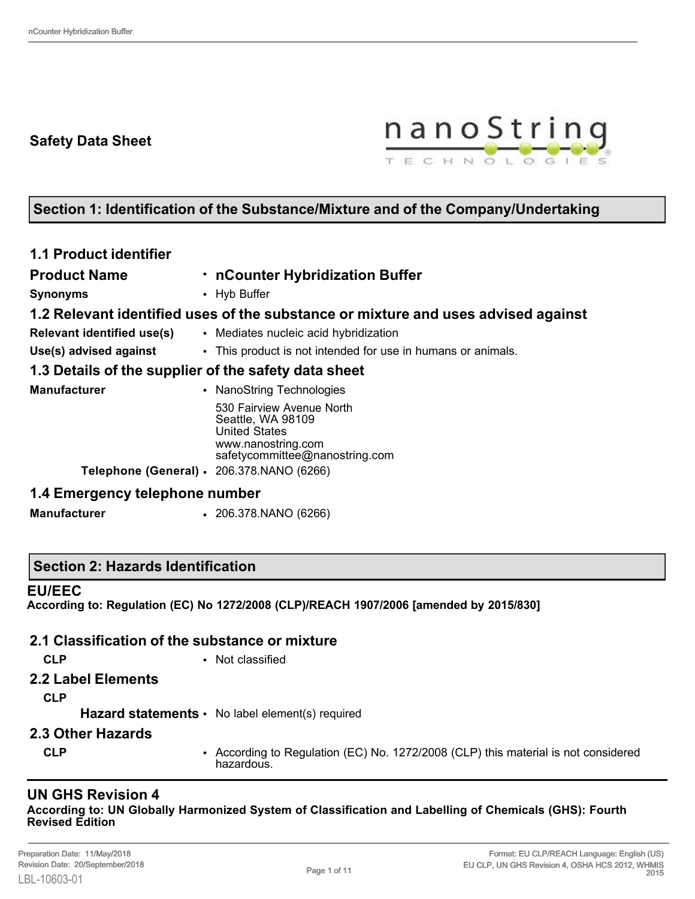# **Safety Data Sheet**



# **Section 1: Identification of the Substance/Mixture and of the Company/Undertaking**

| <b>1.1 Product identifier</b>                        |                                                                                                                                |  |  |  |
|------------------------------------------------------|--------------------------------------------------------------------------------------------------------------------------------|--|--|--|
| <b>Product Name</b>                                  | . nCounter Hybridization Buffer                                                                                                |  |  |  |
| <b>Synonyms</b>                                      | • Hyb Buffer                                                                                                                   |  |  |  |
|                                                      | 1.2 Relevant identified uses of the substance or mixture and uses advised against                                              |  |  |  |
| <b>Relevant identified use(s)</b>                    | • Mediates nucleic acid hybridization                                                                                          |  |  |  |
| Use(s) advised against                               | • This product is not intended for use in humans or animals.                                                                   |  |  |  |
| 1.3 Details of the supplier of the safety data sheet |                                                                                                                                |  |  |  |
| <b>Manufacturer</b>                                  | <b>NanoString Technologies</b>                                                                                                 |  |  |  |
|                                                      | 530 Fairview Avenue North<br>Seattle, WA 98109<br><b>United States</b><br>www.nanostring.com<br>safetycommittee@nanostring.com |  |  |  |
| Telephone (General) · 206.378.NANO (6266)            |                                                                                                                                |  |  |  |
| 1.4 Emergency telephone number                       |                                                                                                                                |  |  |  |

**Manufacturer** • 206.378.NANO (6266)

### **Section 2: Hazards Identification**

#### **EU/EEC**

**According to: Regulation (EC) No 1272/2008 (CLP)/REACH 1907/2006 [amended by 2015/830]**

#### **2.1 Classification of the substance or mixture**

- 
- **CLP** Not classified
- **2.2 Label Elements**

**CLP**

Hazard statements • No label element(s) required

- **2.3 Other Hazards**
	-
	- **CLP** According to Regulation (EC) No. 1272/2008 (CLP) this material is not considered hazardous.

## **UN GHS Revision 4**

**According to: UN Globally Harmonized System of Classification and Labelling of Chemicals (GHS): Fourth Revised Edition**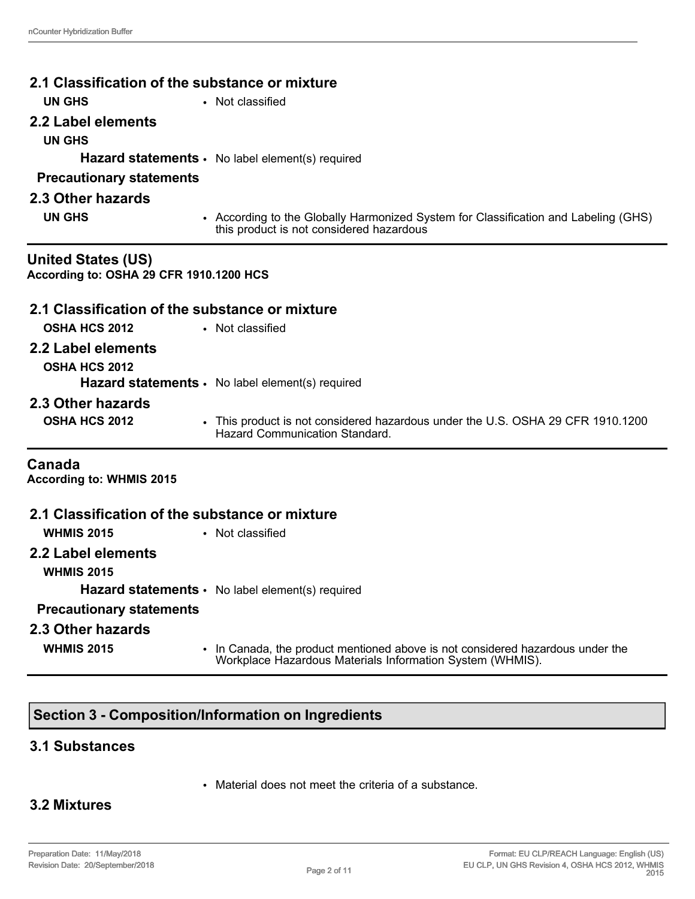| 2.1 Classification of the substance or mixture |                                                                                                                                             |  |  |  |
|------------------------------------------------|---------------------------------------------------------------------------------------------------------------------------------------------|--|--|--|
| <b>UN GHS</b><br>• Not classified              |                                                                                                                                             |  |  |  |
| 2.2 Label elements                             |                                                                                                                                             |  |  |  |
| <b>UN GHS</b>                                  |                                                                                                                                             |  |  |  |
|                                                | Hazard statements · No label element(s) required                                                                                            |  |  |  |
| <b>Precautionary statements</b>                |                                                                                                                                             |  |  |  |
| 2.3 Other hazards                              |                                                                                                                                             |  |  |  |
| <b>UN GHS</b>                                  | • According to the Globally Harmonized System for Classification and Labeling (GHS)                                                         |  |  |  |
|                                                | this product is not considered hazardous                                                                                                    |  |  |  |
| <b>United States (US)</b>                      |                                                                                                                                             |  |  |  |
| According to: OSHA 29 CFR 1910.1200 HCS        |                                                                                                                                             |  |  |  |
| 2.1 Classification of the substance or mixture |                                                                                                                                             |  |  |  |
| <b>OSHA HCS 2012</b>                           | • Not classified                                                                                                                            |  |  |  |
| 2.2 Label elements                             |                                                                                                                                             |  |  |  |
| <b>OSHA HCS 2012</b>                           |                                                                                                                                             |  |  |  |
|                                                | <b>Hazard statements <math>\cdot</math></b> No label element(s) required                                                                    |  |  |  |
| 2.3 Other hazards                              |                                                                                                                                             |  |  |  |
| <b>OSHA HCS 2012</b>                           | • This product is not considered hazardous under the U.S. OSHA 29 CFR 1910.1200<br><b>Hazard Communication Standard</b>                     |  |  |  |
| Canada<br><b>According to: WHMIS 2015</b>      |                                                                                                                                             |  |  |  |
| 2.1 Classification of the substance or mixture |                                                                                                                                             |  |  |  |
| <b>WHMIS 2015</b>                              | • Not classified                                                                                                                            |  |  |  |
| 2.2 Label elements                             |                                                                                                                                             |  |  |  |
| <b>WHMIS 2015</b>                              |                                                                                                                                             |  |  |  |
|                                                | <b>Hazard statements •</b> No label element(s) required                                                                                     |  |  |  |
| <b>Precautionary statements</b>                |                                                                                                                                             |  |  |  |
| 2.3 Other hazards                              |                                                                                                                                             |  |  |  |
| <b>WHMIS 2015</b>                              | • In Canada, the product mentioned above is not considered hazardous under the<br>Workplace Hazardous Materials Information System (WHMIS). |  |  |  |

# **Section 3 - Composition/Information on Ingredients**

### **3.1 Substances**

• Material does not meet the criteria of a substance.

### **3.2 Mixtures**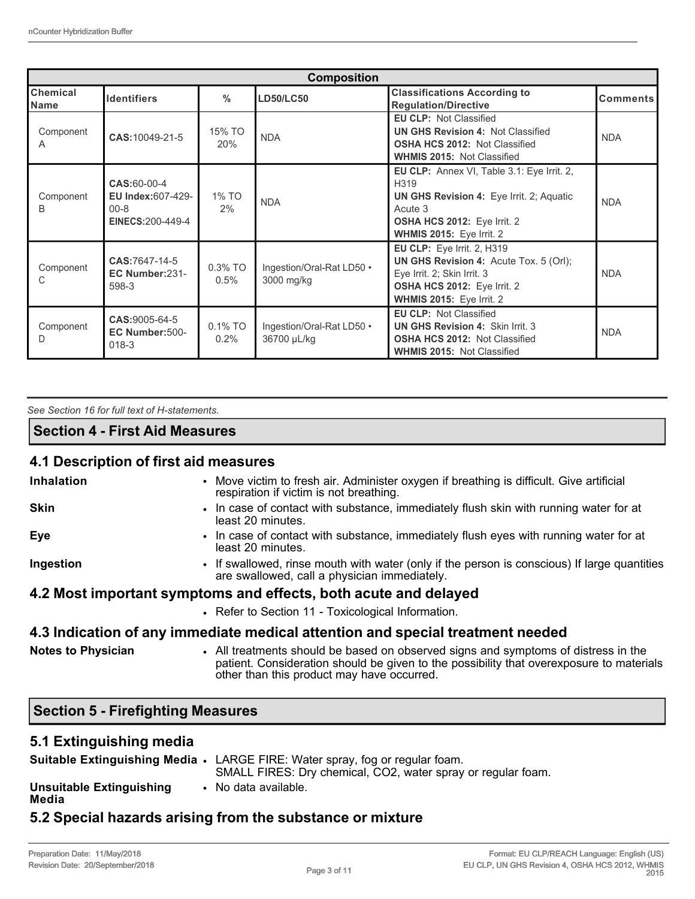| <b>Composition</b>      |                                                                          |                                                               |                                          |                                                                                                                                                                                    |                 |  |
|-------------------------|--------------------------------------------------------------------------|---------------------------------------------------------------|------------------------------------------|------------------------------------------------------------------------------------------------------------------------------------------------------------------------------------|-----------------|--|
| Chemical<br><b>Name</b> | <b>Identifiers</b>                                                       | $\frac{0}{0}$                                                 | <b>LD50/LC50</b>                         | <b>Classifications According to</b><br><b>Regulation/Directive</b>                                                                                                                 | <b>Comments</b> |  |
| Component<br>A          | CAS:10049-21-5                                                           | 15% TO<br>20%                                                 | <b>NDA</b>                               | <b>EU CLP: Not Classified</b><br><b>UN GHS Revision 4: Not Classified</b><br><b>OSHA HCS 2012: Not Classified</b><br><b>WHMIS 2015: Not Classified</b>                             | <b>NDA</b>      |  |
| Component<br>B          | CAS:60-00-4<br><b>EU Index:607-429-</b><br>$00 - 8$<br>EINECS: 200-449-4 | 1% TO<br>2%                                                   | <b>NDA</b>                               | EU CLP: Annex VI, Table 3.1: Eye Irrit. 2,<br>H319<br><b>UN GHS Revision 4: Eye Irrit. 2; Aquatic</b><br>Acute 3<br><b>OSHA HCS 2012: Eye Irrit. 2</b><br>WHMIS 2015: Eye Irrit. 2 | <b>NDA</b>      |  |
| Component<br>C          | CAS:7647-14-5<br>EC Number:231-<br>598-3                                 | $0.3\%$ TO<br>Ingestion/Oral-Rat LD50 .<br>0.5%<br>3000 mg/kg |                                          | <b>EU CLP:</b> Eye Irrit. 2, H319<br><b>UN GHS Revision 4: Acute Tox. 5 (Orl);</b><br>Eye Irrit. 2; Skin Irrit. 3<br>OSHA HCS 2012: Eye Irrit. 2<br>WHMIS 2015: Eye Irrit. 2       | <b>NDA</b>      |  |
| Component<br>D          | CAS:9005-64-5<br>EC Number:500-<br>$018-3$                               | $0.1\%$ TO<br>0.2%                                            | Ingestion/Oral-Rat LD50 .<br>36700 µL/kg | <b>EU CLP: Not Classified</b><br><b>UN GHS Revision 4: Skin Irrit. 3</b><br><b>OSHA HCS 2012: Not Classified</b><br><b>WHMIS 2015: Not Classified</b>                              | <b>NDA</b>      |  |

|  |  | See Section 16 for full text of H-statements. |
|--|--|-----------------------------------------------|
|  |  |                                               |

### **Section 4 - First Aid Measures**

# **4.1 Description of first aid measures**

| <b>Inhalation</b>         | • Move victim to fresh air. Administer oxygen if breathing is difficult. Give artificial<br>respiration if victim is not breathing.                                                                                          |
|---------------------------|------------------------------------------------------------------------------------------------------------------------------------------------------------------------------------------------------------------------------|
| <b>Skin</b>               | • In case of contact with substance, immediately flush skin with running water for at<br>least 20 minutes.                                                                                                                   |
| Eye                       | • In case of contact with substance, immediately flush eyes with running water for at<br>least 20 minutes.                                                                                                                   |
| Ingestion                 | • If swallowed, rinse mouth with water (only if the person is conscious) If large quantities<br>are swallowed, call a physician immediately.                                                                                 |
|                           | 4.2 Most important symptoms and effects, both acute and delayed                                                                                                                                                              |
|                           | • Refer to Section 11 - Toxicological Information.                                                                                                                                                                           |
|                           | 4.3 Indication of any immediate medical attention and special treatment needed                                                                                                                                               |
| <b>Notes to Physician</b> | • All treatments should be based on observed signs and symptoms of distress in the<br>patient. Consideration should be given to the possibility that overexposure to materials<br>other than this product may have occurred. |

# **Section 5 - Firefighting Measures**

### **5.1 Extinguishing media**

|                                   | Suitable Extinguishing Media • LARGE FIRE: Water spray, fog or regular foam.<br>SMALL FIRES: Dry chemical, CO2, water spray or regular foam. |
|-----------------------------------|----------------------------------------------------------------------------------------------------------------------------------------------|
| Unsuitable Extinguishing<br>Media | • No data available.                                                                                                                         |
|                                   |                                                                                                                                              |

# **5.2 Special hazards arising from the substance or mixture**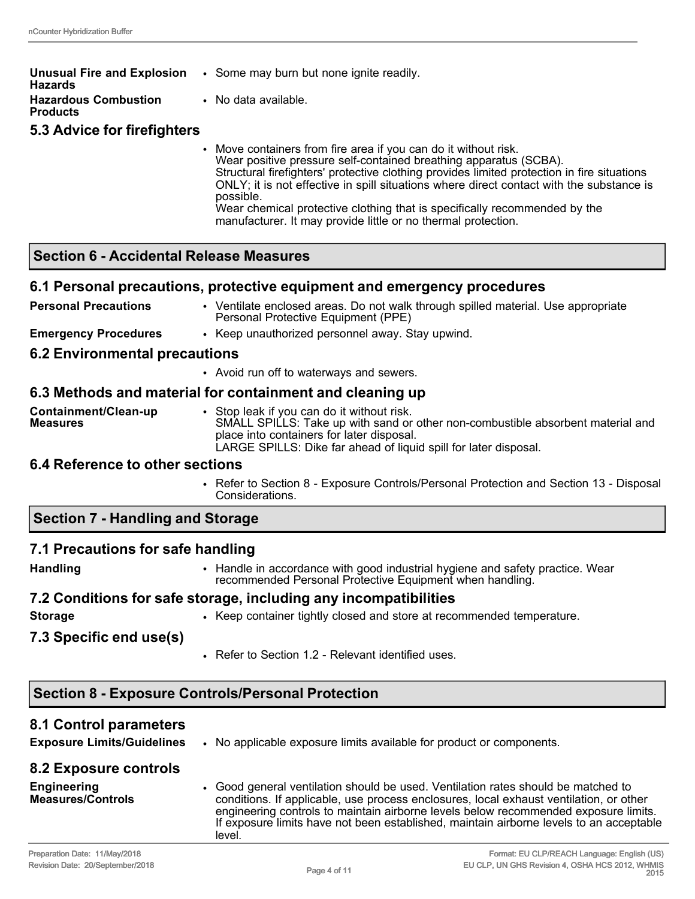| <b>Unusual Fire and Explosion</b><br>Hazards | • Some may burn but none ignite readily.                                                                                                                                                                                                                                                                                                                                                                                                                                                   |
|----------------------------------------------|--------------------------------------------------------------------------------------------------------------------------------------------------------------------------------------------------------------------------------------------------------------------------------------------------------------------------------------------------------------------------------------------------------------------------------------------------------------------------------------------|
| <b>Hazardous Combustion</b><br>Products      | • No data available.                                                                                                                                                                                                                                                                                                                                                                                                                                                                       |
| 5.3 Advice for firefighters                  |                                                                                                                                                                                                                                                                                                                                                                                                                                                                                            |
|                                              | • Move containers from fire area if you can do it without risk.<br>Wear positive pressure self-contained breathing apparatus (SCBA).<br>Structural firefighters' protective clothing provides limited protection in fire situations<br>ONLY; it is not effective in spill situations where direct contact with the substance is<br>possible.<br>Wear chemical protective clothing that is specifically recommended by the<br>manufacturer. It may provide little or no thermal protection. |

### **Section 6 - Accidental Release Measures**

#### **6.1 Personal precautions, protective equipment and emergency procedures**

| <b>Personal Precautions</b> | Ventilate enclosed areas. Do not walk through spilled material. Use appropriate |
|-----------------------------|---------------------------------------------------------------------------------|
|                             | Personal Protective Equipment (PPE)                                             |

**Emergency Procedures** • Keep unauthorized personnel away. Stay upwind.

#### **6.2 Environmental precautions**

• Avoid run off to waterways and sewers.

#### **6.3 Methods and material for containment and cleaning up**

| Containment/Clean-up | Stop leak if you can do it without risk.                                        |
|----------------------|---------------------------------------------------------------------------------|
| <b>Measures</b>      | SMALL SPILLS: Take up with sand or other non-combustible absorbent material and |
|                      | place into containers for later disposal.                                       |
|                      | LARGE SPILLS: Dike far ahead of liquid spill for later disposal.                |

### **6.4 Reference to other sections**

• Refer to Section 8 - Exposure Controls/Personal Protection and Section 13 - Disposal Considerations.

### **Section 7 - Handling and Storage**

### **7.1 Precautions for safe handling**

- 
- **Handling** Handle in accordance with good industrial hygiene and safety practice. Wear recommended Personal Protective Equipment when handling.

#### **7.2 Conditions for safe storage, including any incompatibilities**

- **Storage** Keep container tightly closed and store at recommended temperature. **7.3 Specific end use(s)**
	- Refer to Section 1.2 Relevant identified uses.

## **Section 8 - Exposure Controls/Personal Protection**

#### **8.1 Control parameters**

**Exposure Limits/Guidelines** • No applicable exposure limits available for product or components.

| 8.2 Exposure controls                          |                                                                                                                                                                                                                                                                                                                                                                         |
|------------------------------------------------|-------------------------------------------------------------------------------------------------------------------------------------------------------------------------------------------------------------------------------------------------------------------------------------------------------------------------------------------------------------------------|
| <b>Engineering</b><br><b>Measures/Controls</b> | • Good general ventilation should be used. Ventilation rates should be matched to<br>conditions. If applicable, use process enclosures, local exhaust ventilation, or other<br>engineering controls to maintain airborne levels below recommended exposure limits.<br>If exposure limits have not been established, maintain airborne levels to an acceptable<br>level. |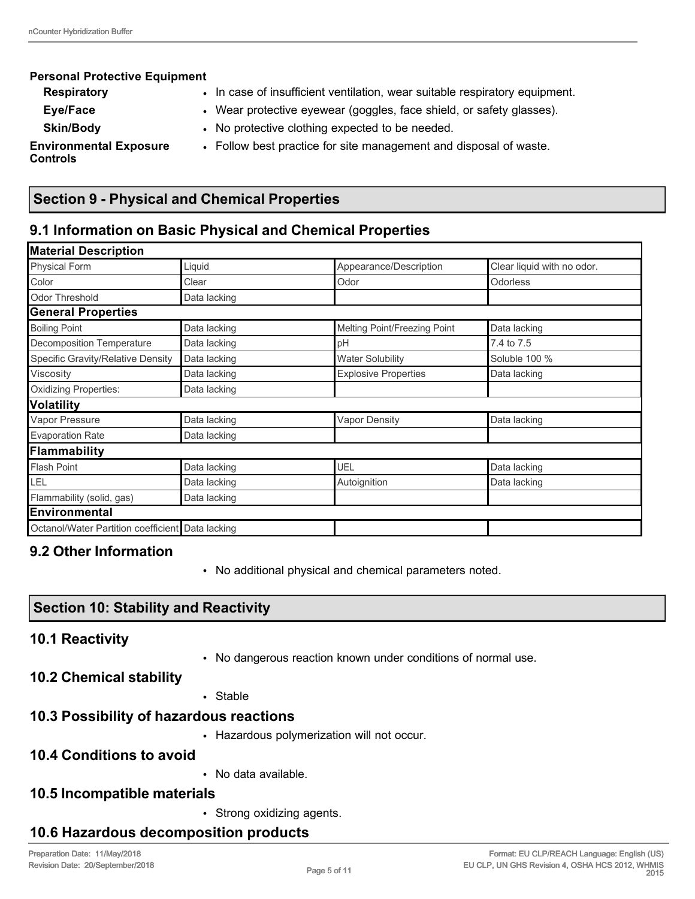| <b>Personal Protective Equipment</b>             |                                                                             |
|--------------------------------------------------|-----------------------------------------------------------------------------|
| <b>Respiratory</b>                               | • In case of insufficient ventilation, wear suitable respiratory equipment. |
| Eye/Face                                         | • Wear protective eyewear (goggles, face shield, or safety glasses).        |
| <b>Skin/Body</b>                                 | • No protective clothing expected to be needed.                             |
| <b>Environmental Exposure</b><br><b>Controls</b> | • Follow best practice for site management and disposal of waste.           |

# **Section 9 - Physical and Chemical Properties**

# **9.1 Information on Basic Physical and Chemical Properties**

| <b>Material Description</b>                      |              |                              |                            |
|--------------------------------------------------|--------------|------------------------------|----------------------------|
| <b>Physical Form</b>                             | Liquid       | Appearance/Description       | Clear liquid with no odor. |
| Color                                            | Clear        | Odor                         | <b>Odorless</b>            |
| <b>Odor Threshold</b>                            | Data lacking |                              |                            |
| <b>General Properties</b>                        |              |                              |                            |
| <b>Boiling Point</b>                             | Data lacking | Melting Point/Freezing Point | Data lacking               |
| Decomposition Temperature                        | Data lacking | pH                           | 7.4 to 7.5                 |
| Specific Gravity/Relative Density                | Data lacking | <b>Water Solubility</b>      | Soluble 100 %              |
| Viscosity                                        | Data lacking | <b>Explosive Properties</b>  | Data lacking               |
| <b>Oxidizing Properties:</b>                     | Data lacking |                              |                            |
| <b>Volatility</b>                                |              |                              |                            |
| Vapor Pressure                                   | Data lacking | <b>Vapor Density</b>         | Data lacking               |
| <b>Evaporation Rate</b>                          | Data lacking |                              |                            |
| Flammability                                     |              |                              |                            |
| <b>Flash Point</b>                               | Data lacking | UEL                          | Data lacking               |
| LEL                                              | Data lacking | Autoignition                 | Data lacking               |
| Flammability (solid, gas)                        | Data lacking |                              |                            |
| <b>Environmental</b>                             |              |                              |                            |
| Octanol/Water Partition coefficient Data lacking |              |                              |                            |

# **9.2 Other Information**

• No additional physical and chemical parameters noted.

| Preparation Date: 11/May/2018    |  |
|----------------------------------|--|
| Revision Date: 20/September/2018 |  |

**10.6 Hazardous decomposition products**

# **Section 10: Stability and Reactivity**

# **10.1 Reactivity**

• No dangerous reaction known under conditions of normal use.

# **10.2 Chemical stability**

• Stable

# **10.3 Possibility of hazardous reactions**

• Hazardous polymerization will not occur.

# **10.4 Conditions to avoid**

• No data available.

# **10.5 Incompatible materials**

• Strong oxidizing agents.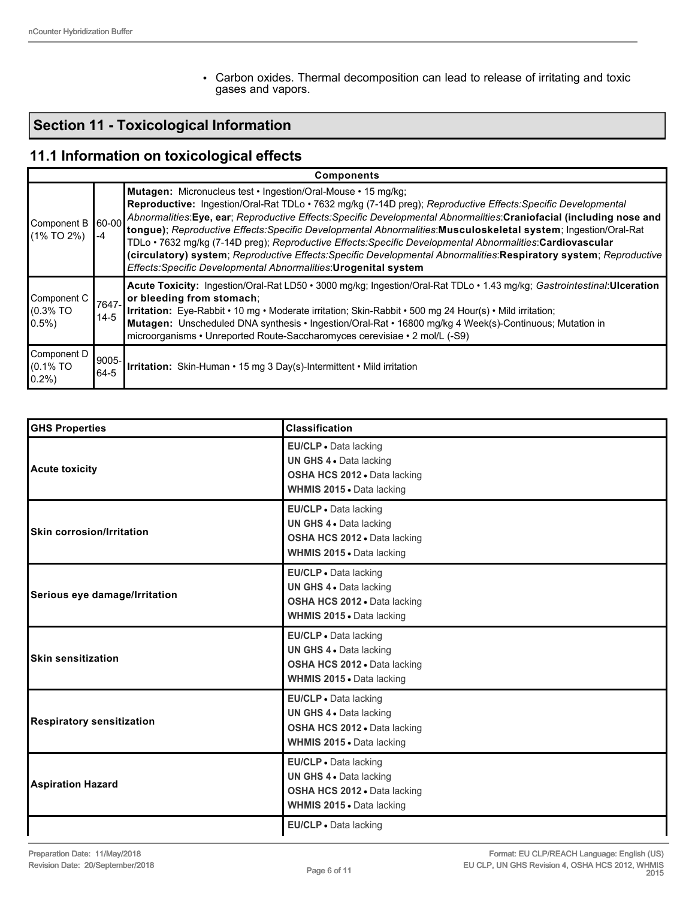• Carbon oxides. Thermal decomposition can lead to release of irritating and toxic gases and vapors.

# **Section 11 - Toxicological Information**

# **11.1 Information on toxicological effects**

|                                         | <b>Components</b>  |                                                                                                                                                                                                                                                                                                                                                                                                                                                                                                                                                                                                                                                                                                                                    |  |  |  |
|-----------------------------------------|--------------------|------------------------------------------------------------------------------------------------------------------------------------------------------------------------------------------------------------------------------------------------------------------------------------------------------------------------------------------------------------------------------------------------------------------------------------------------------------------------------------------------------------------------------------------------------------------------------------------------------------------------------------------------------------------------------------------------------------------------------------|--|--|--|
| Component B<br>$(1\%$ TO 2%)            | $ 60-00 $<br>$-4$  | Mutagen: Micronucleus test · Ingestion/Oral-Mouse · 15 mg/kg;<br>Reproductive: Ingestion/Oral-Rat TDLo · 7632 mg/kg (7-14D preg); Reproductive Effects: Specific Developmental<br>Abnormalities: Eye, ear; Reproductive Effects: Specific Developmental Abnormalities: Craniofacial (including nose and<br>tongue); Reproductive Effects: Specific Developmental Abnormalities: Musculoskeletal system; Ingestion/Oral-Rat<br>TDLo • 7632 mg/kg (7-14D preg); Reproductive Effects: Specific Developmental Abnormalities: Cardiovascular<br>(circulatory) system; Reproductive Effects: Specific Developmental Abnormalities: Respiratory system; Reproductive<br>Effects: Specific Developmental Abnormalities: Urogenital system |  |  |  |
| Component C<br>$(0.3\%$ TO<br>10.5%)    | 17647-<br>$14 - 5$ | Acute Toxicity: Ingestion/Oral-Rat LD50 • 3000 mg/kg; Ingestion/Oral-Rat TDLo • 1.43 mg/kg; Gastrointestinal: Ulceration<br>or bleeding from stomach;<br>Irritation: Eye-Rabbit • 10 mg • Moderate irritation; Skin-Rabbit • 500 mg 24 Hour(s) • Mild irritation;<br>Mutagen: Unscheduled DNA synthesis · Ingestion/Oral-Rat · 16800 mg/kg 4 Week(s)-Continuous; Mutation in<br>microorganisms • Unreported Route-Saccharomyces cerevisiae • 2 mol/L (-S9)                                                                                                                                                                                                                                                                         |  |  |  |
| Component D<br>$(0.1\%$ TO<br>$ 0.2\% $ | 9005-<br>64-5      | <b>Irritation:</b> Skin-Human • 15 mg 3 Day(s)-Intermittent • Mild irritation                                                                                                                                                                                                                                                                                                                                                                                                                                                                                                                                                                                                                                                      |  |  |  |

| <b>GHS Properties</b>            | <b>Classification</b>                                                                                         |
|----------------------------------|---------------------------------------------------------------------------------------------------------------|
| <b>Acute toxicity</b>            | EU/CLP · Data lacking<br>UN GHS 4 . Data lacking<br>OSHA HCS 2012 . Data lacking<br>WHMIS 2015 . Data lacking |
| <b>Skin corrosion/Irritation</b> | EU/CLP · Data lacking<br>UN GHS 4 . Data lacking<br>OSHA HCS 2012 . Data lacking<br>WHMIS 2015 • Data lacking |
| Serious eye damage/Irritation    | EU/CLP . Data lacking<br>UN GHS 4 . Data lacking<br>OSHA HCS 2012 . Data lacking<br>WHMIS 2015 . Data lacking |
| <b>Skin sensitization</b>        | EU/CLP . Data lacking<br>UN GHS 4 . Data lacking<br>OSHA HCS 2012 . Data lacking<br>WHMIS 2015 . Data lacking |
| <b>Respiratory sensitization</b> | EU/CLP . Data lacking<br>UN GHS 4 . Data lacking<br>OSHA HCS 2012 . Data lacking<br>WHMIS 2015 . Data lacking |
| <b>Aspiration Hazard</b>         | EU/CLP . Data lacking<br>UN GHS 4 . Data lacking<br>OSHA HCS 2012 . Data lacking<br>WHMIS 2015 . Data lacking |
|                                  | EU/CLP · Data lacking                                                                                         |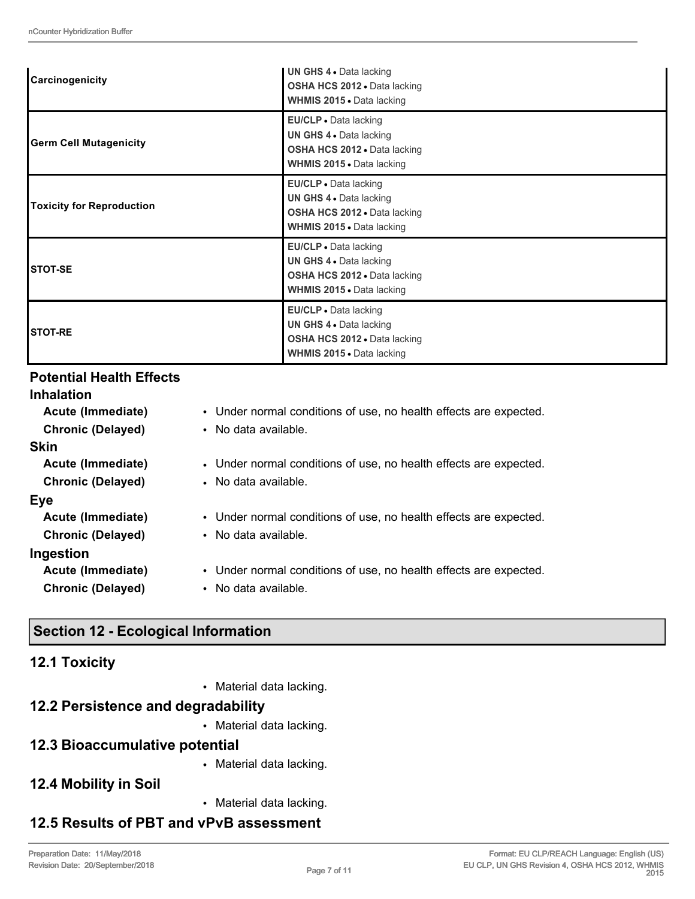| Carcinogenicity                  | <b>UN GHS 4 • Data lacking</b><br>OSHA HCS 2012 . Data lacking<br><b>WHMIS 2015 • Data lacking</b>                   |
|----------------------------------|----------------------------------------------------------------------------------------------------------------------|
| <b>Germ Cell Mutagenicity</b>    | EU/CLP • Data lacking<br>UN GHS 4 . Data lacking<br>OSHA HCS 2012 . Data lacking<br><b>WHMIS 2015 • Data lacking</b> |
| <b>Toxicity for Reproduction</b> | EU/CLP • Data lacking<br>UN GHS 4 . Data lacking<br>OSHA HCS 2012 . Data lacking<br><b>WHMIS 2015</b> - Data lacking |
| STOT-SE                          | EU/CLP • Data lacking<br>UN GHS 4 . Data lacking<br>OSHA HCS 2012 . Data lacking<br><b>WHMIS 2015 • Data lacking</b> |
| <b>STOT-RE</b>                   | EU/CLP • Data lacking<br>UN GHS 4 . Data lacking<br><b>OSHA HCS 2012 •</b> Data lacking<br>WHMIS 2015 . Data lacking |

## **Potential Health Effects**

| <b>Inhalation</b>        |                                                                   |
|--------------------------|-------------------------------------------------------------------|
| Acute (Immediate)        | • Under normal conditions of use, no health effects are expected. |
| <b>Chronic (Delayed)</b> | • No data available.                                              |
| <b>Skin</b>              |                                                                   |
| Acute (Immediate)        | • Under normal conditions of use, no health effects are expected. |
| <b>Chronic (Delayed)</b> | • No data available.                                              |
| Eye                      |                                                                   |
| Acute (Immediate)        | • Under normal conditions of use, no health effects are expected. |
| <b>Chronic (Delayed)</b> | • No data available.                                              |
| Ingestion                |                                                                   |
| Acute (Immediate)        | • Under normal conditions of use, no health effects are expected. |
| <b>Chronic (Delayed)</b> | • No data available.                                              |
|                          |                                                                   |
|                          |                                                                   |

## **Section 12 - Ecological Information**

## **12.1 Toxicity**

• Material data lacking.

# **12.2 Persistence and degradability**

• Material data lacking.

### **12.3 Bioaccumulative potential**

• Material data lacking.

## **12.4 Mobility in Soil**

• Material data lacking.

# **12.5 Results of PBT and vPvB assessment**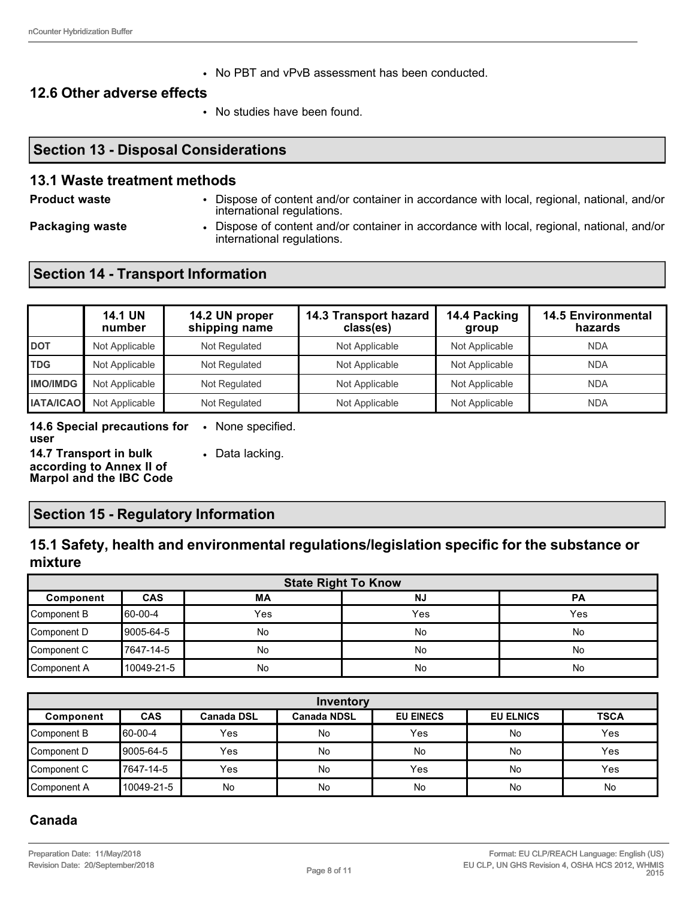• No PBT and vPvB assessment has been conducted.

#### **12.6 Other adverse effects**

• No studies have been found.

### **Section 13 - Disposal Considerations**

#### **13.1 Waste treatment methods**

**Product waste** • Dispose of content and/or container in accordance with local, regional, national, and/or international regulations.

**Packaging waste • Dispose of content and/or container in accordance with local, regional, national, and/or container** international regulations.

### **Section 14 - Transport Information**

|                  | <b>14.1 UN</b><br>number | 14.2 UN proper<br>shipping name | 14.3 Transport hazard<br>class(es) | 14.4 Packing<br>group | <b>14.5 Environmental</b><br>hazards |
|------------------|--------------------------|---------------------------------|------------------------------------|-----------------------|--------------------------------------|
| <b>DOT</b>       | Not Applicable           | Not Regulated                   | Not Applicable                     | Not Applicable        | <b>NDA</b>                           |
| <b>TDG</b>       | Not Applicable           | Not Regulated                   | Not Applicable                     | Not Applicable        | <b>NDA</b>                           |
| <b>IMO/IMDG</b>  | Not Applicable           | Not Regulated                   | Not Applicable                     | Not Applicable        | <b>NDA</b>                           |
| <b>IATA/ICAO</b> | Not Applicable           | Not Regulated                   | Not Applicable                     | Not Applicable        | <b>NDA</b>                           |

**14.6 Special precautions for**  • None specified. **user**

**14.7 Transport in bulk according to Annex II of** 

• Data lacking.

**Marpol and the IBC Code**

### **Section 15 - Regulatory Information**

### **15.1 Safety, health and environmental regulations/legislation specific for the substance or mixture**

| <b>State Right To Know</b> |            |     |           |           |
|----------------------------|------------|-----|-----------|-----------|
| Component                  | <b>CAS</b> | МA  | <b>NJ</b> | <b>PA</b> |
| Component B                | 60-00-4    | Yes | Yes       | Yes       |
| Component D                | 9005-64-5  | No  | No        | No        |
| Component C                | 17647-14-5 | No  | <b>No</b> | No        |
| Component A                | 10049-21-5 | No  | No        | No        |

| Inventory   |            |                   |                    |                  |                  |             |
|-------------|------------|-------------------|--------------------|------------------|------------------|-------------|
| Component   | <b>CAS</b> | <b>Canada DSL</b> | <b>Canada NDSL</b> | <b>EU EINECS</b> | <b>EU ELNICS</b> | <b>TSCA</b> |
| Component B | 60-00-4    | Yes               | No                 | Yes              | <b>No</b>        | Yes         |
| Component D | 9005-64-5  | Yes               | No                 | No               | <b>No</b>        | Yes         |
| Component C | 7647-14-5  | Yes               | No                 | Yes              | No               | Yes         |
| Component A | 10049-21-5 | <b>No</b>         | No                 | No               | <b>No</b>        | No          |

### **Canada**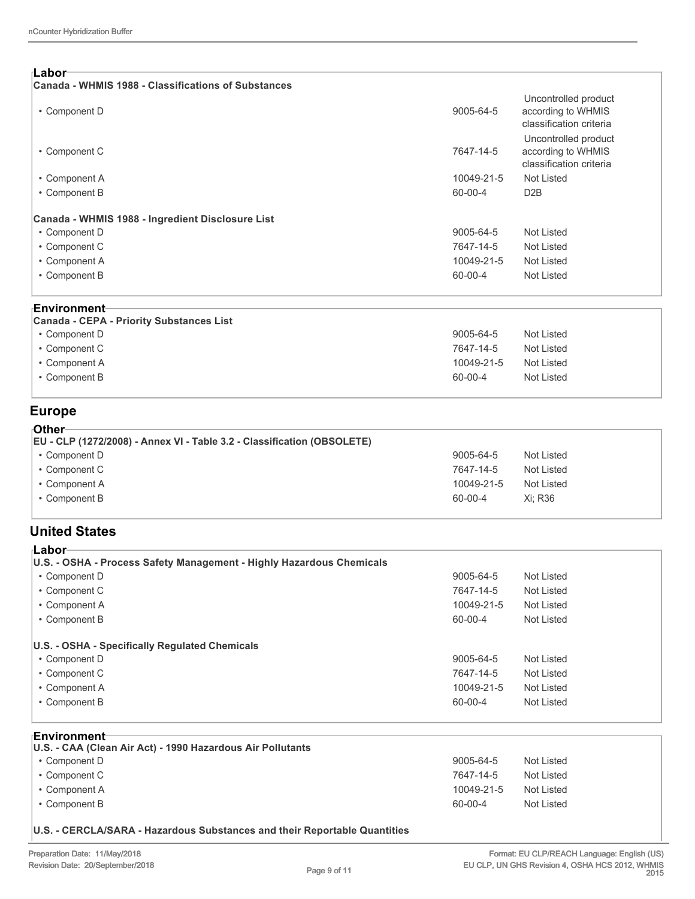| ⊺Labor<br>Canada - WHMIS 1988 - Classifications of Substances |               |                                                                       |  |
|---------------------------------------------------------------|---------------|-----------------------------------------------------------------------|--|
| • Component D                                                 | 9005-64-5     | Uncontrolled product<br>according to WHMIS<br>classification criteria |  |
| • Component C                                                 | 7647-14-5     | Uncontrolled product<br>according to WHMIS<br>classification criteria |  |
| • Component A                                                 | 10049-21-5    | Not Listed                                                            |  |
| • Component B                                                 | $60 - 00 - 4$ | D2B                                                                   |  |
| Canada - WHMIS 1988 - Ingredient Disclosure List              |               |                                                                       |  |
| • Component D                                                 | 9005-64-5     | Not Listed                                                            |  |
| • Component C                                                 | 7647-14-5     | Not Listed                                                            |  |
| • Component A                                                 | 10049-21-5    | Not Listed                                                            |  |
| • Component B                                                 | 60-00-4       | Not Listed                                                            |  |
|                                                               |               |                                                                       |  |

#### **Environment**

| Canada - CEPA - Priority Substances List |            |            |
|------------------------------------------|------------|------------|
| • Component D                            | 9005-64-5  | Not Listed |
| • Component C                            | 7647-14-5  | Not Listed |
| • Component A                            | 10049-21-5 | Not Listed |
| • Component B                            | 60-00-4    | Not Listed |
|                                          |            |            |

### **Europe**

| ∍Other                                                                  |            |            |
|-------------------------------------------------------------------------|------------|------------|
| EU - CLP (1272/2008) - Annex VI - Table 3.2 - Classification (OBSOLETE) |            |            |
| • Component D                                                           | 9005-64-5  | Not Listed |
| • Component C                                                           | 7647-14-5  | Not Listed |
| • Component A                                                           | 10049-21-5 | Not Listed |
| • Component B                                                           | 60-00-4    | Xi: R36    |

### **United States**

| ⊦Labor                                                               |            |            |
|----------------------------------------------------------------------|------------|------------|
| U.S. - OSHA - Process Safety Management - Highly Hazardous Chemicals |            |            |
| • Component D                                                        | 9005-64-5  | Not Listed |
| • Component C                                                        | 7647-14-5  | Not Listed |
| • Component A                                                        | 10049-21-5 | Not Listed |
| • Component B                                                        | 60-00-4    | Not Listed |
|                                                                      |            |            |
| U.S. - OSHA - Specifically Regulated Chemicals                       |            |            |
| • Component D                                                        | 9005-64-5  | Not Listed |
| • Component C                                                        | 7647-14-5  | Not Listed |
| • Component A                                                        | 10049-21-5 | Not Listed |
| • Component B                                                        | 60-00-4    | Not Listed |
|                                                                      |            |            |

#### **Environment**

| U.S. - CAA (Clean Air Act) - 1990 Hazardous Air Pollutants |            |            |
|------------------------------------------------------------|------------|------------|
| • Component D                                              | 9005-64-5  | Not Listed |
| • Component C                                              | 7647-14-5  | Not Listed |
| • Component A                                              | 10049-21-5 | Not Listed |
| • Component B                                              | 60-00-4    | Not Listed |

**U.S. - CERCLA/SARA - Hazardous Substances and their Reportable Quantities**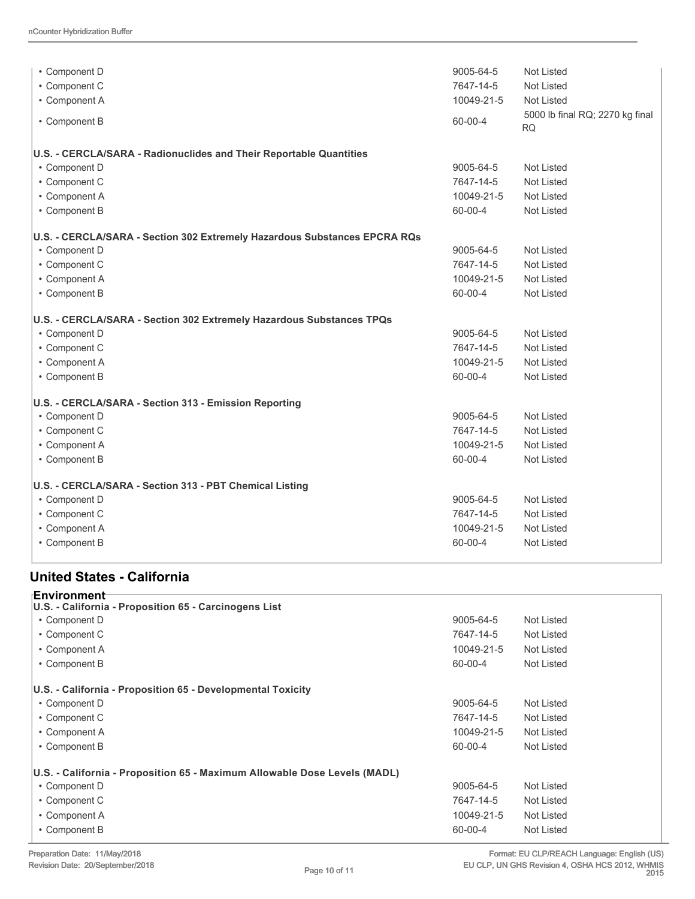| • Component D                                                             | 9005-64-5  | <b>Not Listed</b>                            |  |
|---------------------------------------------------------------------------|------------|----------------------------------------------|--|
| • Component C                                                             | 7647-14-5  | Not Listed<br>Not Listed                     |  |
| • Component A                                                             | 10049-21-5 |                                              |  |
| • Component B                                                             | 60-00-4    | 5000 lb final RQ; 2270 kg final<br><b>RQ</b> |  |
| U.S. - CERCLA/SARA - Radionuclides and Their Reportable Quantities        |            |                                              |  |
| • Component D                                                             | 9005-64-5  | <b>Not Listed</b>                            |  |
| • Component C                                                             | 7647-14-5  | <b>Not Listed</b>                            |  |
| • Component A                                                             | 10049-21-5 | <b>Not Listed</b>                            |  |
| • Component B                                                             | 60-00-4    | <b>Not Listed</b>                            |  |
| U.S. - CERCLA/SARA - Section 302 Extremely Hazardous Substances EPCRA RQs |            |                                              |  |
| • Component D                                                             | 9005-64-5  | <b>Not Listed</b>                            |  |
| • Component C                                                             | 7647-14-5  | <b>Not Listed</b>                            |  |
| • Component A                                                             | 10049-21-5 | Not Listed                                   |  |
| • Component B                                                             | 60-00-4    | <b>Not Listed</b>                            |  |
| U.S. - CERCLA/SARA - Section 302 Extremely Hazardous Substances TPQs      |            |                                              |  |
| • Component D                                                             | 9005-64-5  | Not Listed                                   |  |
| • Component C                                                             | 7647-14-5  | Not Listed                                   |  |
| • Component A                                                             | 10049-21-5 | <b>Not Listed</b>                            |  |
| • Component B                                                             | 60-00-4    | <b>Not Listed</b>                            |  |
| U.S. - CERCLA/SARA - Section 313 - Emission Reporting                     |            |                                              |  |
| • Component D                                                             | 9005-64-5  | <b>Not Listed</b>                            |  |
| • Component C                                                             | 7647-14-5  | <b>Not Listed</b>                            |  |
| • Component A                                                             | 10049-21-5 | <b>Not Listed</b>                            |  |
| • Component B                                                             | 60-00-4    | <b>Not Listed</b>                            |  |
| U.S. - CERCLA/SARA - Section 313 - PBT Chemical Listing                   |            |                                              |  |
| • Component D                                                             | 9005-64-5  | <b>Not Listed</b>                            |  |
| • Component C                                                             | 7647-14-5  | Not Listed                                   |  |
| • Component A                                                             | 10049-21-5 | <b>Not Listed</b>                            |  |
| • Component B                                                             | 60-00-4    | <b>Not Listed</b>                            |  |
|                                                                           |            |                                              |  |

### **United States - California**

| <b>Environment</b> ⊤<br>U.S. - California - Proposition 65 - Carcinogens List |               |            |
|-------------------------------------------------------------------------------|---------------|------------|
| • Component D                                                                 | 9005-64-5     | Not Listed |
| • Component C                                                                 | 7647-14-5     | Not Listed |
| • Component A                                                                 | 10049-21-5    | Not Listed |
| • Component B                                                                 | 60-00-4       | Not Listed |
| U.S. - California - Proposition 65 - Developmental Toxicity                   |               |            |
| • Component D                                                                 | 9005-64-5     | Not Listed |
| • Component C                                                                 | 7647-14-5     | Not Listed |
| • Component A                                                                 | 10049-21-5    | Not Listed |
| • Component B                                                                 | $60 - 00 - 4$ | Not Listed |
| U.S. - California - Proposition 65 - Maximum Allowable Dose Levels (MADL)     |               |            |
| • Component D                                                                 | 9005-64-5     | Not Listed |
| • Component C                                                                 | 7647-14-5     | Not Listed |
| • Component A                                                                 | 10049-21-5    | Not Listed |
| • Component B                                                                 | 60-00-4       | Not Listed |